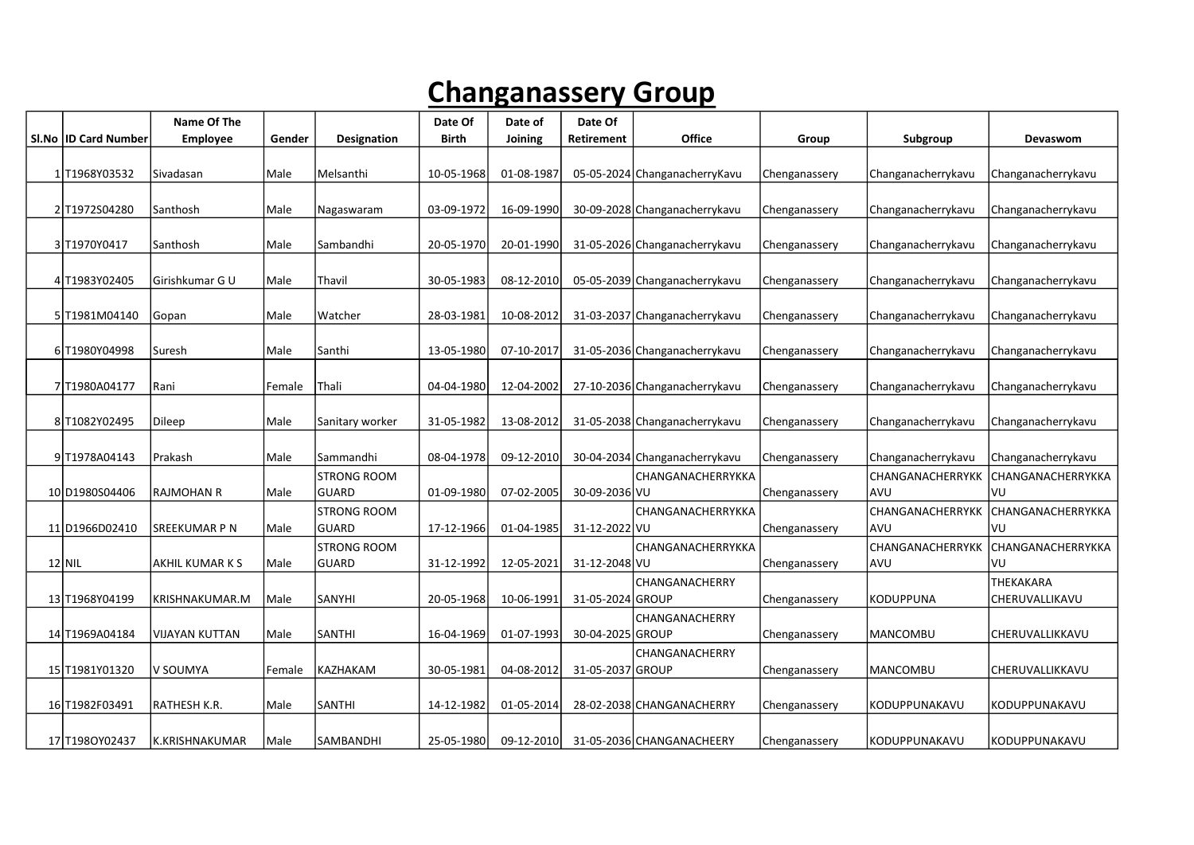## Changanassery Group

|                        | Name Of The            |        |                                    | Date Of      | Date of    | Date Of          |                                |               |                                       |                             |
|------------------------|------------------------|--------|------------------------------------|--------------|------------|------------------|--------------------------------|---------------|---------------------------------------|-----------------------------|
| SI.No   ID Card Number | Employee               | Gender | <b>Designation</b>                 | <b>Birth</b> | Joining    | Retirement       | Office                         | Group         | Subgroup                              | Devaswom                    |
| 1T1968Y03532           | Sivadasan              | Male   | Melsanthi                          | 10-05-1968   | 01-08-1987 |                  | 05-05-2024 Changanacherry Kavu | Chenganassery | Changanacherrykavu                    | Changanacherrykavu          |
| 2 T1972S04280          | Santhosh               | Male   | Nagaswaram                         | 03-09-1972   | 16-09-1990 |                  | 30-09-2028 Changanacherrykavu  | Chenganassery | Changanacherrykavu                    | Changanacherrykavu          |
| 3 T1970Y0417           | Santhosh               | Male   | Sambandhi                          | 20-05-1970   | 20-01-1990 |                  | 31-05-2026 Changanacherrykavu  | Chenganassery | Changanacherrykavu                    | Changanacherrykavu          |
| 4 T1983Y02405          | Girishkumar G U        | Male   | Thavil                             | 30-05-1983   | 08-12-2010 |                  | 05-05-2039 Changanacherrykavu  | Chenganassery | Changanacherrykavu                    | Changanacherrykavu          |
| 5 T1981M04140          | Gopan                  | Male   | Watcher                            | 28-03-1981   | 10-08-2012 |                  | 31-03-2037 Changanacherrykavu  | Chenganassery | Changanacherrykavu                    | Changanacherrykavu          |
| 6 T1980Y04998          | Suresh                 | Male   | Santhi                             | 13-05-1980   | 07-10-2017 |                  | 31-05-2036 Changanacherrykavu  | Chenganassery | Changanacherrykavu                    | Changanacherrykavu          |
| 7T1980A04177           | Rani                   | Female | Thali                              | 04-04-1980   | 12-04-2002 |                  | 27-10-2036 Changanacherrykavu  | Chenganassery | Changanacherrykavu                    | Changanacherrykavu          |
| 8 T1082Y02495          | Dileep                 | Male   | Sanitary worker                    | 31-05-1982   | 13-08-2012 |                  | 31-05-2038 Changanacherrykavu  | Chenganassery | Changanacherrykavu                    | Changanacherrykavu          |
| 9T1978A04143           | Prakash                | Male   | l Sammandhi                        | 08-04-1978   | 09-12-2010 |                  | 30-04-2034 Changanacherrykavu  | Chenganassery | Changanacherrykavu                    | Changanacherrykavu          |
| 10 D1980S04406         | <b>RAJMOHAN R</b>      | l Male | <b>STRONG ROOM</b><br><b>GUARD</b> | 01-09-1980   | 07-02-2005 | 30-09-2036 VU    | CHANGANACHERRYKKA              | Chenganassery | <b>CHANGANACHERRYKK</b><br><b>AVU</b> | CHANGANACHERRYKKA<br>VU     |
| 11 D1966D02410         | <b>SREEKUMAR P N</b>   | Male   | <b>STRONG ROOM</b><br><b>GUARD</b> | 17-12-1966   | 01-04-1985 | 31-12-2022 VU    | CHANGANACHERRYKKA              | Chenganassery | <b>CHANGANACHERRYKK</b><br><b>AVU</b> | CHANGANACHERRYKKA<br>VU     |
| $12$ NIL               | <b>AKHIL KUMAR K S</b> | Male   | <b>STRONG ROOM</b><br><b>GUARD</b> | 31-12-1992   | 12-05-2021 | 31-12-2048 VU    | CHANGANACHERRYKKA              | Chenganassery | <b>CHANGANACHERRYKK</b><br><b>AVU</b> | CHANGANACHERRYKKA<br>VU     |
| 13 T1968Y04199         | KRISHNAKUMAR.M         | Male   | <b>SANYHI</b>                      | 20-05-1968   | 10-06-1991 | 31-05-2024 GROUP | CHANGANACHERRY                 | Chenganassery | <b>KODUPPUNA</b>                      | THEKAKARA<br>CHERUVALLIKAVU |
| 14 T1969A04184         | <b>VIJAYAN KUTTAN</b>  | Male   | <b>SANTHI</b>                      | 16-04-1969   | 01-07-1993 | 30-04-2025 GROUP | CHANGANACHERRY                 | Chenganassery | MANCOMBU                              | CHERUVALLIKKAVU             |
| 15 T1981Y01320         | lv soumya              | Female | KAZHAKAM                           | 30-05-1981   | 04-08-2012 | 31-05-2037 GROUP | CHANGANACHERRY                 | Chenganassery | <b>MANCOMBU</b>                       | CHERUVALLIKKAVU             |
| 16 T1982F03491         | RATHESH K.R.           | Male   | SANTHI                             | 14-12-1982   | 01-05-2014 |                  | 28-02-2038 CHANGANACHERRY      | Chenganassery | KODUPPUNAKAVU                         | KODUPPUNAKAVU               |
| 17 T1980Y02437         | lk.KRISHNAKUMAR        | l Male | ISAMBANDHI                         | 25-05-1980   | 09-12-2010 |                  | 31-05-2036 CHANGANACHEERY      | Chenganassery | KODUPPUNAKAVU                         | KODUPPUNAKAVU               |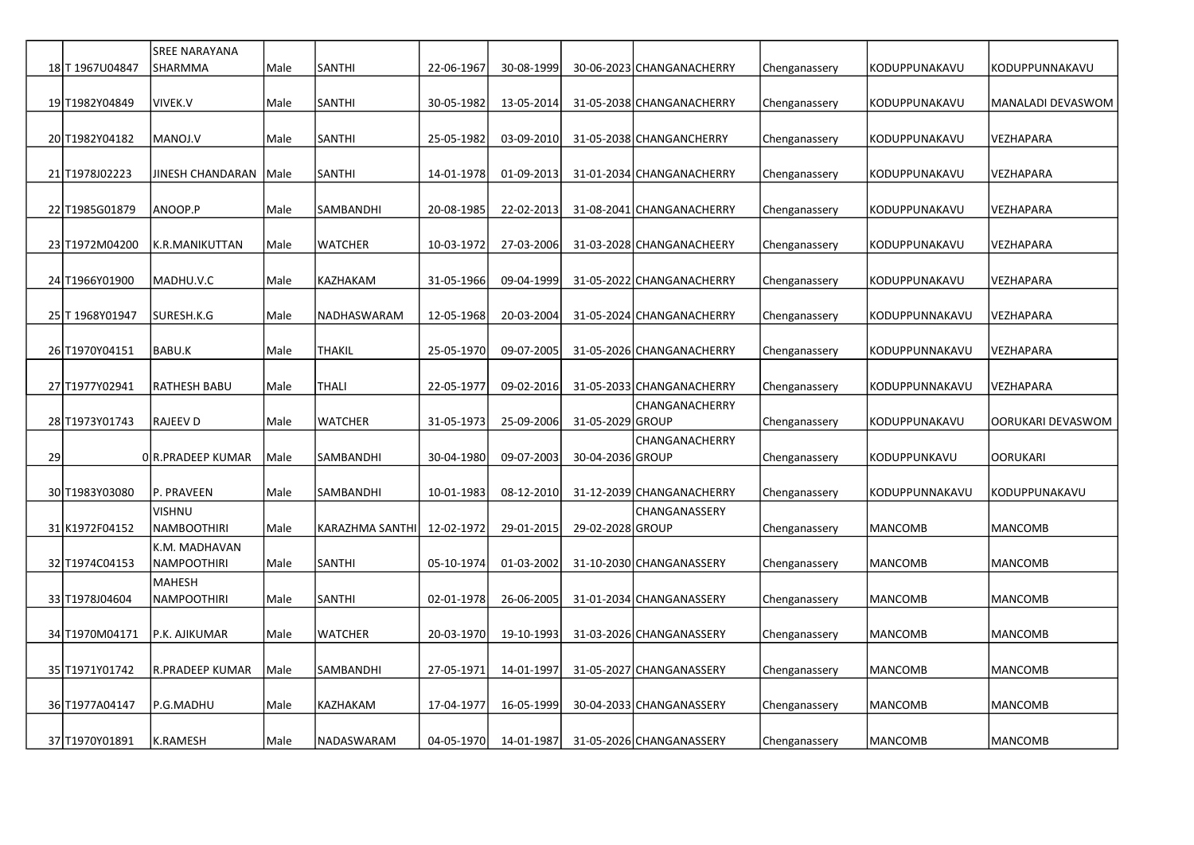|    |                 | <b>SREE NARAYANA</b>         |      |                  |            |            |                  |                           |               |                |                   |
|----|-----------------|------------------------------|------|------------------|------------|------------|------------------|---------------------------|---------------|----------------|-------------------|
|    | 18 T 1967U04847 | SHARMMA                      | Male | <b>SANTHI</b>    | 22-06-1967 | 30-08-1999 |                  | 30-06-2023 CHANGANACHERRY | Chenganassery | KODUPPUNAKAVU  | KODUPPUNNAKAVU    |
|    | 19 T1982Y04849  | VIVEK.V                      | Male | <b>SANTHI</b>    | 30-05-1982 | 13-05-2014 |                  | 31-05-2038 CHANGANACHERRY | Chenganassery | KODUPPUNAKAVU  | MANALADI DEVASWOM |
|    |                 |                              |      |                  |            |            |                  |                           |               |                |                   |
|    | 20 T1982Y04182  | MANOJ.V                      | Male | <b>SANTHI</b>    | 25-05-1982 | 03-09-2010 |                  | 31-05-2038 CHANGANCHERRY  | Chenganassery | KODUPPUNAKAVU  | VEZHAPARA         |
|    | 21 T1978J02223  | JINESH CHANDARAN   Male      |      | <b>SANTHI</b>    | 14-01-1978 | 01-09-2013 |                  | 31-01-2034 CHANGANACHERRY | Chenganassery | KODUPPUNAKAVU  | VEZHAPARA         |
|    | 22 T1985G01879  | ANOOP.P                      | Male | <b>SAMBANDHI</b> | 20-08-1985 | 22-02-2013 |                  | 31-08-2041 CHANGANACHERRY | Chenganassery | KODUPPUNAKAVU  | VEZHAPARA         |
|    | 23 T1972M04200  | K.R.MANIKUTTAN               | Male | <b>WATCHER</b>   | 10-03-1972 | 27-03-2006 |                  | 31-03-2028 CHANGANACHEERY | Chenganassery | KODUPPUNAKAVU  | VEZHAPARA         |
|    | 24 T1966Y01900  | MADHU.V.C                    | Male | KAZHAKAM         | 31-05-1966 | 09-04-1999 |                  | 31-05-2022 CHANGANACHERRY | Chenganassery | KODUPPUNAKAVU  | VEZHAPARA         |
|    | 25 T 1968Y01947 | SURESH.K.G                   | Male | NADHASWARAM      | 12-05-1968 | 20-03-2004 |                  | 31-05-2024 CHANGANACHERRY | Chenganassery | KODUPPUNNAKAVU | VEZHAPARA         |
|    | 26 T1970Y04151  | BABU.K                       | Male | <b>THAKIL</b>    | 25-05-1970 | 09-07-2005 |                  | 31-05-2026 CHANGANACHERRY | Chenganassery | KODUPPUNNAKAVU | VEZHAPARA         |
|    | 27 T1977Y02941  | RATHESH BABU                 | Male | THALI            | 22-05-1977 | 09-02-2016 |                  | 31-05-2033 CHANGANACHERRY | Chenganassery | KODUPPUNNAKAVU | VEZHAPARA         |
|    | 28 T1973Y01743  | <b>RAJEEV D</b>              | Male | <b>WATCHER</b>   | 31-05-1973 | 25-09-2006 | 31-05-2029 GROUP | CHANGANACHERRY            | Chenganassery | KODUPPUNAKAVU  | OORUKARI DEVASWOM |
| 29 |                 | 0 R.PRADEEP KUMAR            | Male | <b>SAMBANDHI</b> | 30-04-1980 | 09-07-2003 | 30-04-2036 GROUP | CHANGANACHERRY            | Chenganassery | KODUPPUNKAVU   | <b>OORUKARI</b>   |
|    | 30 T1983Y03080  | P. PRAVEEN                   | Male | <b>SAMBANDHI</b> | 10-01-1983 | 08-12-2010 |                  | 31-12-2039 CHANGANACHERRY | Chenganassery | KODUPPUNNAKAVU | KODUPPUNAKAVU     |
|    | 31 K1972F04152  | VISHNU<br>NAMBOOTHIRI        | Male | KARAZHMA SANTHI  | 12-02-1972 | 29-01-2015 | 29-02-2028 GROUP | CHANGANASSERY             | Chenganassery | MANCOMB        | <b>MANCOMB</b>    |
|    | 32 T1974C04153  | K.M. MADHAVAN<br>NAMPOOTHIRI | Male | SANTHI           | 05-10-1974 | 01-03-2002 |                  | 31-10-2030 CHANGANASSERY  | Chenganassery | MANCOMB        | <b>MANCOMB</b>    |
|    | 33 T1978J04604  | <b>MAHESH</b><br>NAMPOOTHIRI | Male | SANTHI           | 02-01-1978 | 26-06-2005 |                  | 31-01-2034 CHANGANASSERY  | Chenganassery | <b>MANCOMB</b> | <b>MANCOMB</b>    |
|    | 34 T1970M04171  | P.K. AJIKUMAR                | Male | <b>WATCHER</b>   | 20-03-1970 | 19-10-1993 |                  | 31-03-2026 CHANGANASSERY  | Chenganassery | <b>MANCOMB</b> | <b>MANCOMB</b>    |
|    | 35 T1971Y01742  | R.PRADEEP KUMAR              | Male | SAMBANDHI        | 27-05-1971 | 14-01-1997 |                  | 31-05-2027 CHANGANASSERY  | Chenganassery | <b>MANCOMB</b> | <b>MANCOMB</b>    |
|    | 36 T1977A04147  | P.G.MADHU                    | Male | KAZHAKAM         | 17-04-1977 | 16-05-1999 |                  | 30-04-2033 CHANGANASSERY  | Chenganassery | <b>MANCOMB</b> | <b>MANCOMB</b>    |
|    | 37 T1970Y01891  | K.RAMESH                     | Male | NADASWARAM       | 04-05-1970 | 14-01-1987 |                  | 31-05-2026 CHANGANASSERY  | Chenganassery | <b>MANCOMB</b> | <b>MANCOMB</b>    |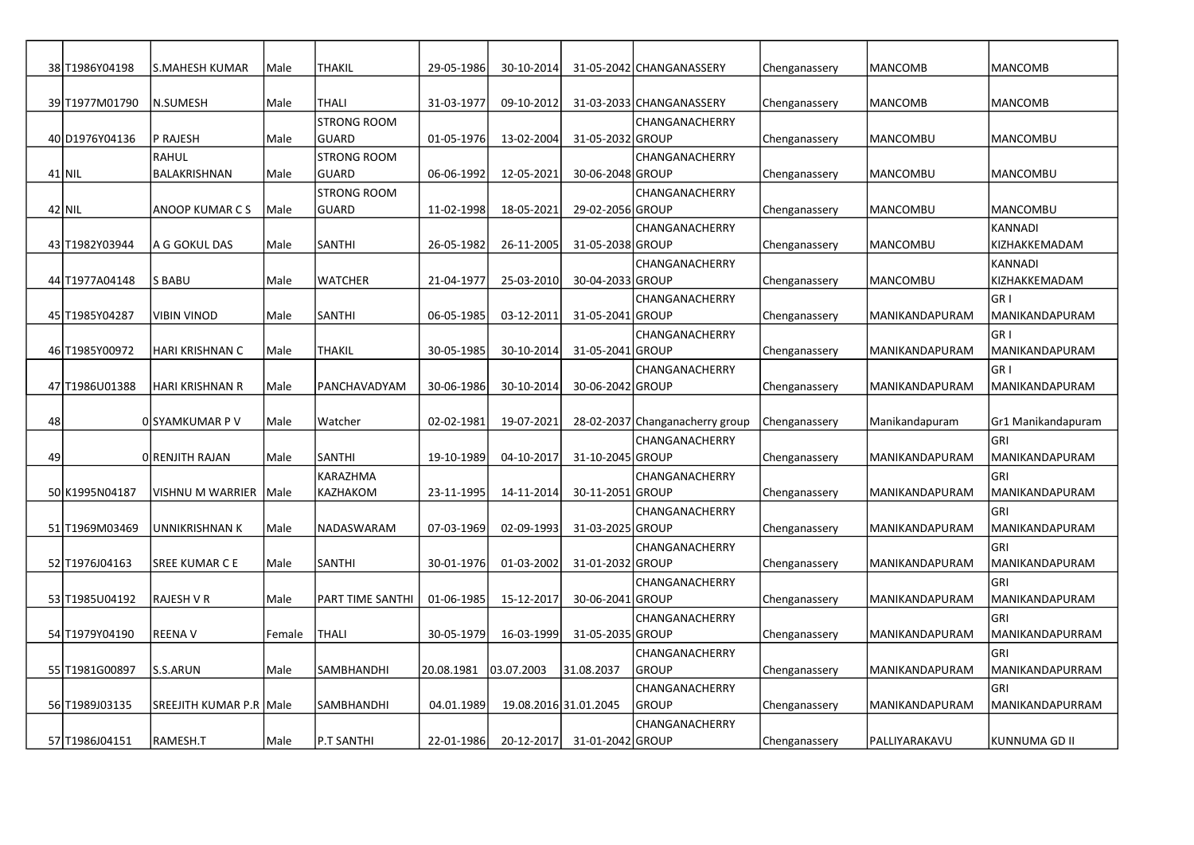|    | 38 T1986Y04198  | S.MAHESH KUMAR          | Male   | <b>THAKIL</b>      | 29-05-1986 | 30-10-2014       |                       | 31-05-2042 CHANGANASSERY        | Chenganassery | <b>MANCOMB</b>  | <b>MANCOMB</b>        |
|----|-----------------|-------------------------|--------|--------------------|------------|------------------|-----------------------|---------------------------------|---------------|-----------------|-----------------------|
|    |                 |                         |        |                    |            |                  |                       |                                 |               |                 |                       |
|    | 39 T1977M01790  | N.SUMESH                | Male   | <b>THALI</b>       | 31-03-1977 | 09-10-2012       |                       | 31-03-2033 CHANGANASSERY        | Chenganassery | <b>MANCOMB</b>  | <b>MANCOMB</b>        |
|    |                 |                         |        | <b>STRONG ROOM</b> |            |                  |                       | CHANGANACHERRY                  |               |                 |                       |
|    | 40 D1976 Y04136 | P RAJESH                | Male   | <b>GUARD</b>       | 01-05-1976 | 13-02-2004       | 31-05-2032 GROUP      |                                 | Chenganassery | MANCOMBU        | <b>MANCOMBU</b>       |
|    |                 | RAHUL                   |        | <b>STRONG ROOM</b> |            |                  |                       | CHANGANACHERRY                  |               |                 |                       |
|    | $41$ NIL        | BALAKRISHNAN            | Male   | <b>GUARD</b>       | 06-06-1992 | 12-05-2021       | 30-06-2048 GROUP      |                                 | Chenganassery | MANCOMBU        | <b>MANCOMBU</b>       |
|    |                 |                         |        | <b>STRONG ROOM</b> |            |                  |                       | CHANGANACHERRY                  |               |                 |                       |
|    | 42 NIL          | ANOOP KUMAR C S         | Male   | <b>GUARD</b>       | 11-02-1998 | 18-05-2021       | 29-02-2056 GROUP      |                                 | Chenganassery | <b>MANCOMBU</b> | <b>MANCOMBU</b>       |
|    |                 |                         |        |                    |            |                  |                       | CHANGANACHERRY                  |               |                 | <b>KANNADI</b>        |
|    | 43 T1982Y03944  | A G GOKUL DAS           | Male   | <b>SANTHI</b>      | 26-05-1982 | 26-11-2005       | 31-05-2038 GROUP      |                                 | Chenganassery | <b>MANCOMBU</b> | KIZHAKKEMADAM         |
|    |                 |                         |        |                    |            |                  |                       | CHANGANACHERRY                  |               |                 | <b>KANNADI</b>        |
|    | 44 T1977A04148  | S BABU                  | Male   | <b>WATCHER</b>     | 21-04-1977 | 25-03-2010       | 30-04-2033 GROUP      |                                 | Chenganassery | <b>MANCOMBU</b> | KIZHAKKEMADAM         |
|    |                 |                         |        |                    |            |                  |                       | CHANGANACHERRY                  |               |                 | GR <sub>I</sub>       |
|    | 45 T1985Y04287  | VIBIN VINOD             | Male   | <b>SANTHI</b>      | 06-05-1985 | 03-12-2011       | 31-05-2041 GROUP      |                                 | Chenganassery | MANIKANDAPURAM  | MANIKANDAPURAM        |
|    |                 |                         |        |                    |            |                  |                       | CHANGANACHERRY                  |               |                 | GR <sub>I</sub>       |
|    | 46 T1985Y00972  | HARI KRISHNAN C         | Male   | <b>THAKIL</b>      | 30-05-1985 | 30-10-2014       | 31-05-2041 GROUP      |                                 | Chenganassery | MANIKANDAPURAM  | MANIKANDAPURAM        |
|    |                 |                         |        |                    |            |                  |                       | CHANGANACHERRY                  |               |                 | GR <sub>I</sub>       |
|    | 47 T1986 U01388 | <b>HARI KRISHNAN R</b>  | Male   | PANCHAVADYAM       | 30-06-1986 | 30-10-2014       | 30-06-2042 GROUP      |                                 | Chenganassery | MANIKANDAPURAM  | MANIKANDAPURAM        |
|    |                 |                         |        |                    |            |                  |                       |                                 |               |                 |                       |
| 48 |                 | OISYAMKUMAR P V         | Male   | Watcher            | 02-02-1981 | 19-07-2021       |                       | 28-02-2037 Changanacherry group | Chenganassery | Manikandapuram  | Gr1 Manikandapuram    |
|    |                 |                         |        |                    |            |                  |                       | CHANGANACHERRY                  |               |                 | <b>GRI</b>            |
| 49 |                 | O RENJITH RAJAN         | Male   | SANTHI             | 19-10-1989 | 04-10-2017       | 31-10-2045 GROUP      |                                 | Chenganassery | MANIKANDAPURAM  | MANIKANDAPURAM        |
|    |                 |                         |        | KARAZHMA           |            |                  |                       | CHANGANACHERRY                  |               |                 | <b>GRI</b>            |
|    | 50 K1995N04187  | VISHNU M WARRIER        | Male   | KAZHAKOM           | 23-11-1995 | 14-11-2014       | 30-11-2051 GROUP      |                                 | Chenganassery | MANIKANDAPURAM  | MANIKANDAPURAM        |
|    |                 |                         |        |                    |            |                  |                       | CHANGANACHERRY                  |               |                 | GRI                   |
|    | 51 T1969M03469  | UNNIKRISHNAN K          | Male   | NADASWARAM         | 07-03-1969 | 02-09-1993       | 31-03-2025 GROUP      |                                 | Chenganassery | MANIKANDAPURAM  | MANIKANDAPURAM        |
|    | 52 T1976J04163  | SREE KUMAR C E          | Male   | <b>SANTHI</b>      | 30-01-1976 | $01 - 03 - 2002$ | 31-01-2032 GROUP      | CHANGANACHERRY                  | Chenganassery | MANIKANDAPURAM  | GRI<br>MANIKANDAPURAM |
|    |                 |                         |        |                    |            |                  |                       | CHANGANACHERRY                  |               |                 | <b>GRI</b>            |
|    | 53 T1985U04192  | RAJESH V R              | Male   | PART TIME SANTHI   | 01-06-1985 | 15-12-2017       | 30-06-2041 GROUP      |                                 | Chenganassery | MANIKANDAPURAM  | MANIKANDAPURAM        |
|    |                 |                         |        |                    |            |                  |                       | CHANGANACHERRY                  |               |                 | <b>GRI</b>            |
|    | 54 T1979Y04190  | <b>REENAV</b>           | Female | <b>THALI</b>       | 30-05-1979 | 16-03-1999       | 31-05-2035 GROUP      |                                 | Chenganassery | MANIKANDAPURAM  | MANIKANDAPURRAM       |
|    |                 |                         |        |                    |            |                  |                       | CHANGANACHERRY                  |               |                 | GRI                   |
|    | 55 T1981 G00897 | S.S.ARUN                | Male   | <b>SAMBHANDHI</b>  | 20.08.1981 | 03.07.2003       | 31.08.2037            | <b>GROUP</b>                    | Chenganassery | MANIKANDAPURAM  | MANIKANDAPURRAM       |
|    |                 |                         |        |                    |            |                  |                       | CHANGANACHERRY                  |               |                 | <b>GRI</b>            |
|    | 56 T1989J03135  | SREEJITH KUMAR P.R Male |        | SAMBHANDHI         | 04.01.1989 |                  | 19.08.2016 31.01.2045 | <b>GROUP</b>                    | Chenganassery | MANIKANDAPURAM  | MANIKANDAPURRAM       |
|    |                 |                         |        |                    |            |                  |                       | CHANGANACHERRY                  |               |                 |                       |
|    | 57 T1986J04151  | RAMESH.T                | Male   | P.T SANTHI         | 22-01-1986 | 20-12-2017       | 31-01-2042 GROUP      |                                 | Chenganassery | PALLIYARAKAVU   | KUNNUMA GD II         |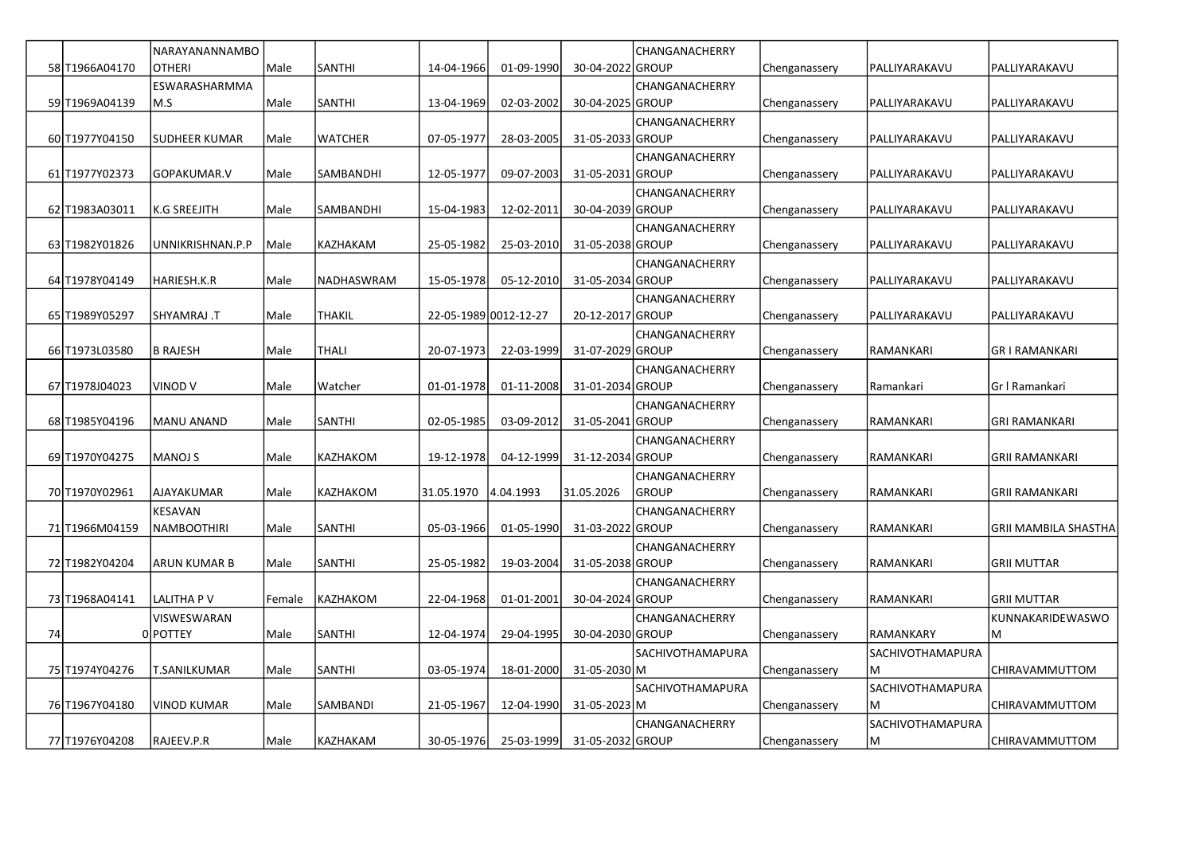|    |                 | NARAYANANNAMBO       |        |                  |                       |                  |                  | CHANGANACHERRY   |               |                  |                             |
|----|-----------------|----------------------|--------|------------------|-----------------------|------------------|------------------|------------------|---------------|------------------|-----------------------------|
|    | 58 T1966A04170  | <b>OTHERI</b>        | Male   | <b>SANTHI</b>    | 14-04-1966            | 01-09-1990       | 30-04-2022 GROUP |                  | Chenganassery | PALLIYARAKAVU    | PALLIYARAKAVU               |
|    |                 | ESWARASHARMMA        |        |                  |                       |                  |                  | CHANGANACHERRY   |               |                  |                             |
|    | 59 T1969A04139  | M.S                  | Male   | <b>SANTHI</b>    | 13-04-1969            | 02-03-2002       | 30-04-2025 GROUP |                  | Chenganassery | PALLIYARAKAVU    | PALLIYARAKAVU               |
|    |                 |                      |        |                  |                       |                  |                  | CHANGANACHERRY   |               |                  |                             |
|    | 60 T1977Y04150  | <b>SUDHEER KUMAR</b> | Male   | <b>WATCHER</b>   | 07-05-1977            | 28-03-2005       | 31-05-2033 GROUP |                  | Chenganassery | PALLIYARAKAVU    | PALLIYARAKAVU               |
|    |                 |                      |        |                  |                       |                  |                  | CHANGANACHERRY   |               |                  |                             |
|    | 61 T1977Y02373  | GOPAKUMAR.V          | Male   | <b>SAMBANDHI</b> | 12-05-1977            | 09-07-2003       | 31-05-2031 GROUP |                  | Chenganassery | PALLIYARAKAVU    | PALLIYARAKAVU               |
|    |                 |                      |        |                  |                       |                  |                  | CHANGANACHERRY   |               |                  |                             |
|    | 62 T1983A03011  | <b>K.G SREEJITH</b>  | Male   | SAMBANDHI        | 15-04-1983            | 12-02-2011       | 30-04-2039 GROUP |                  | Chenganassery | PALLIYARAKAVU    | PALLIYARAKAVU               |
|    |                 |                      |        |                  |                       |                  |                  | CHANGANACHERRY   |               |                  |                             |
|    | 63 T1982Y01826  | UNNIKRISHNAN.P.P     | l Male | KAZHAKAM         | 25-05-1982            | 25-03-2010       | 31-05-2038 GROUP |                  | Chenganassery | PALLIYARAKAVU    | PALLIYARAKAVU               |
|    |                 |                      |        |                  |                       |                  |                  | CHANGANACHERRY   |               |                  |                             |
|    | 64 T1978 Y04149 | HARIESH.K.R          | Male   | NADHASWRAM       | 15-05-1978            | 05-12-2010       | 31-05-2034 GROUP |                  | Chenganassery | PALLIYARAKAVU    | PALLIYARAKAVU               |
|    |                 |                      |        |                  |                       |                  |                  | CHANGANACHERRY   |               |                  |                             |
|    | 65 T1989Y05297  | T. SHYAMRAJ          | Male   | <b>THAKIL</b>    | 22-05-1989 0012-12-27 |                  | 20-12-2017 GROUP |                  | Chenganassery | PALLIYARAKAVU    | PALLIYARAKAVU               |
|    |                 |                      |        |                  |                       |                  |                  | CHANGANACHERRY   |               |                  |                             |
|    | 66 T1973L03580  | <b>B RAJESH</b>      | Male   | <b>THALI</b>     | 20-07-1973            | 22-03-1999       | 31-07-2029 GROUP |                  | Chenganassery | RAMANKARI        | <b>GRI RAMANKARI</b>        |
|    | 67 T1978J04023  | VINOD V              | Male   | Watcher          | 01-01-1978            | 01-11-2008       | 31-01-2034 GROUP | CHANGANACHERRY   |               |                  |                             |
|    |                 |                      |        |                  |                       |                  |                  |                  | Chenganassery | Ramankari        | Gr I Ramankari              |
|    | 68 T1985Y04196  | <b>MANU ANAND</b>    | Male   | <b>SANTHI</b>    | 02-05-1985            | 03-09-2012       | 31-05-2041 GROUP | CHANGANACHERRY   | Chenganassery | RAMANKARI        | <b>GRI RAMANKARI</b>        |
|    |                 |                      |        |                  |                       |                  |                  | CHANGANACHERRY   |               |                  |                             |
|    | 69 T1970Y04275  | <b>MANOJ S</b>       | Male   | KAZHAKOM         | 19-12-1978            | 04-12-1999       | 31-12-2034 GROUP |                  | Chenganassery | RAMANKARI        | <b>GRII RAMANKARI</b>       |
|    |                 |                      |        |                  |                       |                  |                  | CHANGANACHERRY   |               |                  |                             |
|    | 70 T1970Y02961  | <b>AJAYAKUMAR</b>    | Male   | <b>KAZHAKOM</b>  | 31.05.1970            | 4.04.1993        | 31.05.2026       | <b>GROUP</b>     | Chenganassery | RAMANKARI        | <b>GRII RAMANKARI</b>       |
|    |                 | KESAVAN              |        |                  |                       |                  |                  | CHANGANACHERRY   |               |                  |                             |
|    | 71 T1966M04159  | <b>NAMBOOTHIRI</b>   | Male   | SANTHI           | 05-03-1966            | $01 - 05 - 1990$ | 31-03-2022 GROUP |                  | Chenganassery | RAMANKARI        | <b>GRII MAMBILA SHASTHA</b> |
|    |                 |                      |        |                  |                       |                  |                  | CHANGANACHERRY   |               |                  |                             |
|    | 72 T1982Y04204  | ARUN KUMAR B         | Male   | SANTHI           | 25-05-1982            | 19-03-2004       | 31-05-2038 GROUP |                  | Chenganassery | RAMANKARI        | <b>GRII MUTTAR</b>          |
|    |                 |                      |        |                  |                       |                  |                  | CHANGANACHERRY   |               |                  |                             |
|    | 73 T1968A04141  | <b>LALITHA P V</b>   | Female | KAZHAKOM         | 22-04-1968            | 01-01-2001       | 30-04-2024 GROUP |                  | Chenganassery | RAMANKARI        | <b>GRII MUTTAR</b>          |
|    |                 | <b>VISWESWARAN</b>   |        |                  |                       |                  |                  | CHANGANACHERRY   |               |                  | KUNNAKARIDEWASWO            |
| 74 |                 | 0 POTTEY             | Male   | <b>SANTHI</b>    | 12-04-1974            | 29-04-1995       | 30-04-2030 GROUP |                  | Chenganassery | RAMANKARY        | M                           |
|    |                 |                      |        |                  |                       |                  |                  | SACHIVOTHAMAPURA |               | SACHIVOTHAMAPURA |                             |
|    | 75 T1974Y04276  | T.SANILKUMAR         | Male   | <b>SANTHI</b>    | 03-05-1974            | 18-01-2000       | 31-05-2030 M     |                  | Chenganassery | M                | CHIRAVAMMUTTOM              |
|    |                 |                      |        |                  |                       |                  |                  | SACHIVOTHAMAPURA |               | SACHIVOTHAMAPURA |                             |
|    | 76 T1967Y04180  | <b>VINOD KUMAR</b>   | Male   | SAMBANDI         | 21-05-1967            | 12-04-1990       | 31-05-2023 M     |                  | Chenganassery | M                | CHIRAVAMMUTTOM              |
|    |                 |                      |        |                  |                       |                  |                  | CHANGANACHERRY   |               | SACHIVOTHAMAPURA |                             |
|    | 77 T1976Y04208  | RAJEEV.P.R           | Male   | KAZHAKAM         | 30-05-1976            | 25-03-1999       | 31-05-2032 GROUP |                  | Chenganassery | M                | CHIRAVAMMUTTOM              |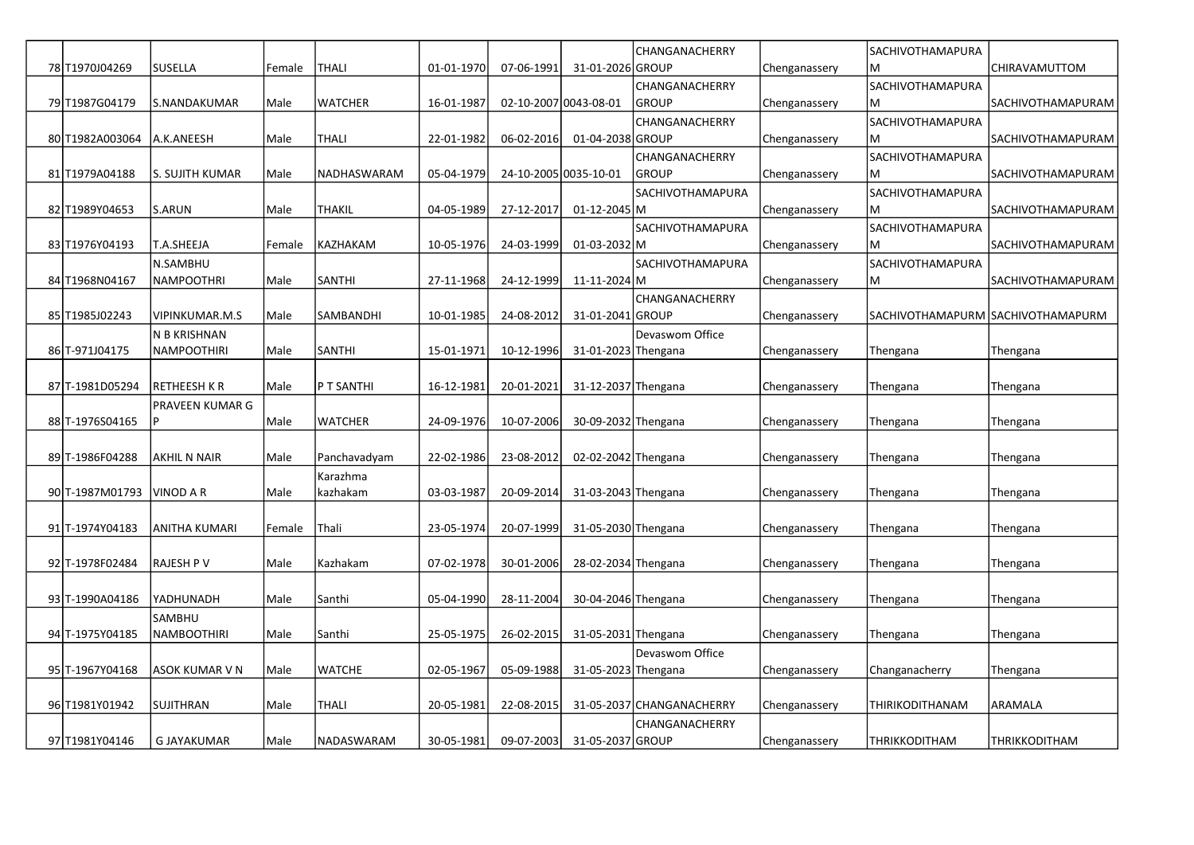|                  |                    |        |                 |            |            |                       | CHANGANACHERRY            |               | SACHIVOTHAMAPURA        |                                   |
|------------------|--------------------|--------|-----------------|------------|------------|-----------------------|---------------------------|---------------|-------------------------|-----------------------------------|
| 78 T1970J04269   | SUSELLA            | Female | <b>THALI</b>    | 01-01-1970 | 07-06-1991 | 31-01-2026 GROUP      |                           | Chenganassery | M                       | CHIRAVAMUTTOM                     |
|                  |                    |        |                 |            |            |                       | CHANGANACHERRY            |               | SACHIVOTHAMAPURA        |                                   |
| 79 T1987G04179   | S.NANDAKUMAR       | Male   | <b>WATCHER</b>  | 16-01-1987 |            | 02-10-2007 0043-08-01 | <b>GROUP</b>              | Chenganassery | м                       | SACHIVOTHAMAPURAM                 |
|                  |                    |        |                 |            |            |                       | CHANGANACHERRY            |               | SACHIVOTHAMAPURA        |                                   |
| 80 T1982A003064  | A.K.ANEESH         | Male   | <b>THALI</b>    | 22-01-1982 | 06-02-2016 | 01-04-2038 GROUP      |                           | Chenganassery | ΙM                      | SACHIVOTHAMAPURAM                 |
|                  |                    |        |                 |            |            |                       | CHANGANACHERRY            |               | SACHIVOTHAMAPURA        |                                   |
| 81 T1979A04188   | S. SUJITH KUMAR    | Male   | NADHASWARAM     | 05-04-1979 |            | 24-10-2005 0035-10-01 | <b>GROUP</b>              | Chenganassery | M                       | SACHIVOTHAMAPURAM                 |
|                  |                    |        |                 |            |            |                       | SACHIVOTHAMAPURA          |               | SACHIVOTHAMAPURA        |                                   |
| 82 T1989Y04653   | S.ARUN             | Male   | <b>THAKIL</b>   | 04-05-1989 | 27-12-2017 | $01 - 12 - 2045$ M    |                           | Chenganassery | M                       | <b>SACHIVOTHAMAPURAM</b>          |
|                  |                    |        |                 |            |            |                       | SACHIVOTHAMAPURA          |               | <b>SACHIVOTHAMAPURA</b> |                                   |
| 83 T1976 Y04193  | T.A.SHEEJA         | Female | <b>KAZHAKAM</b> | 10-05-1976 | 24-03-1999 | $01-03-2032$ M        |                           | Chenganassery | lМ                      | <b>SACHIVOTHAMAPURAM</b>          |
|                  | N.SAMBHU           |        |                 |            |            |                       | SACHIVOTHAMAPURA          |               | SACHIVOTHAMAPURA        |                                   |
| 84 T1968N04167   | NAMPOOTHRI         | Male   | <b>SANTHI</b>   | 27-11-1968 | 24-12-1999 | 11-11-2024 M          |                           | Chenganassery | IM.                     | SACHIVOTHAMAPURAM                 |
|                  |                    |        |                 |            |            |                       | CHANGANACHERRY            |               |                         |                                   |
| 85 T1985J02243   | VIPINKUMAR.M.S     | Male   | SAMBANDHI       | 10-01-1985 | 24-08-2012 | 31-01-2041 GROUP      |                           | Chenganassery |                         | SACHIVOTHAMAPURM SACHIVOTHAMAPURM |
|                  | N B KRISHNAN       |        |                 |            |            |                       | Devaswom Office           |               |                         |                                   |
| 86 T-971J04175   | NAMPOOTHIRI        | Male   | <b>SANTHI</b>   | 15-01-1971 | 10-12-1996 | 31-01-2023 Thengana   |                           | Chenganassery | Thengana                | Thengana                          |
|                  |                    |        |                 |            |            |                       |                           |               |                         |                                   |
| 87 T-1981 D05294 | RETHEESH K R       | Male   | P T SANTHI      | 16-12-1981 | 20-01-2021 | 31-12-2037 Thengana   |                           | Chenganassery | Thengana                | Thengana                          |
|                  | PRAVEEN KUMAR G    |        |                 |            |            |                       |                           |               |                         |                                   |
| 88 T-1976S04165  | Þ                  | Male   | <b>WATCHER</b>  | 24-09-1976 | 10-07-2006 | 30-09-2032 Thengana   |                           | Chenganassery | Thengana                | Thengana                          |
|                  |                    |        |                 |            |            |                       |                           |               |                         |                                   |
| 89 T-1986F04288  | AKHIL N NAIR       | Male   | Panchavadyam    | 22-02-1986 | 23-08-2012 | 02-02-2042 Thengana   |                           | Chenganassery | Thengana                | Thengana                          |
|                  |                    |        | Karazhma        |            |            |                       |                           |               |                         |                                   |
| 90 T-1987M01793  | VINOD A R          | Male   | kazhakam        | 03-03-1987 | 20-09-2014 | 31-03-2043 Thengana   |                           | Chenganassery | Thengana                | Thengana                          |
|                  |                    |        |                 |            |            |                       |                           |               |                         |                                   |
| 91 T-1974Y04183  | ANITHA KUMARI      | Female | Thali           | 23-05-1974 | 20-07-1999 | 31-05-2030 Thengana   |                           | Chenganassery | Thengana                | Thengana                          |
|                  |                    |        |                 |            |            |                       |                           |               |                         |                                   |
| 92 T-1978 F02484 | RAJESH P V         | Male   | Kazhakam        | 07-02-1978 | 30-01-2006 | 28-02-2034 Thengana   |                           | Chenganassery | Thengana                | Thengana                          |
|                  |                    |        |                 |            |            |                       |                           |               |                         |                                   |
| 93 T-1990A04186  | YADHUNADH          | Male   | Santhi          | 05-04-1990 | 28-11-2004 | 30-04-2046 Thengana   |                           | Chenganassery | Thengana                | Thengana                          |
|                  | <b>SAMBHU</b>      |        |                 |            |            |                       |                           |               |                         |                                   |
| 94 T-1975Y04185  | NAMBOOTHIRI        | Male   | Santhi          | 25-05-1975 | 26-02-2015 | 31-05-2031 Thengana   |                           | Chenganassery | Thengana                | Thengana                          |
|                  |                    |        |                 |            |            |                       | Devaswom Office           |               |                         |                                   |
| 95 T-1967Y04168  | ASOK KUMAR V N     | Male   | <b>WATCHE</b>   | 02-05-1967 | 05-09-1988 | 31-05-2023 Thengana   |                           | Chenganassery | Changanacherry          | Thengana                          |
|                  |                    |        |                 |            |            |                       |                           |               |                         |                                   |
| 96 T1981Y01942   | SUJITHRAN          | Male   | <b>THALI</b>    | 20-05-1981 | 22-08-2015 |                       | 31-05-2037 CHANGANACHERRY | Chenganassery | THIRIKODITHANAM         | ARAMALA                           |
|                  |                    |        |                 |            |            |                       | CHANGANACHERRY            |               |                         |                                   |
| 97 T1981Y04146   | <b>G JAYAKUMAR</b> | Male   | NADASWARAM      | 30-05-1981 | 09-07-2003 | 31-05-2037 GROUP      |                           | Chenganassery | <b>THRIKKODITHAM</b>    | <b>THRIKKODITHAM</b>              |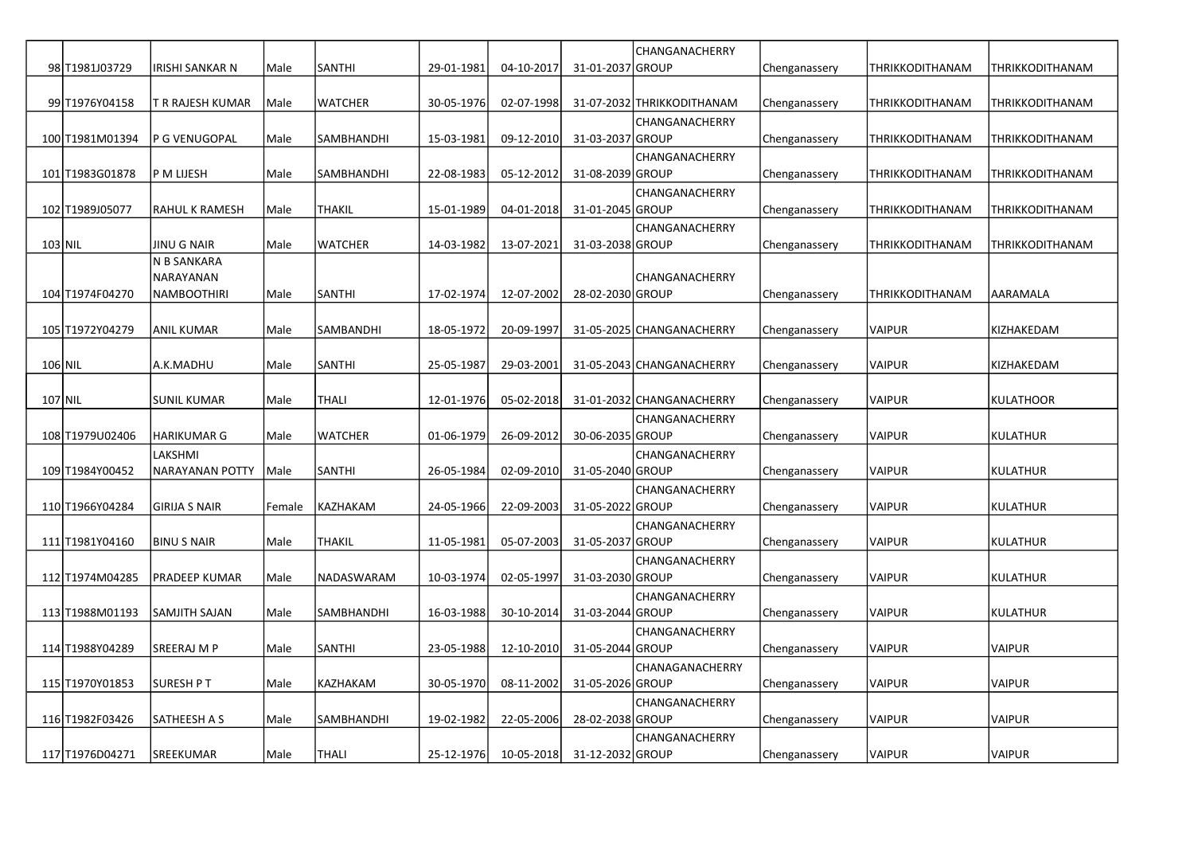|                  |                        |        |                   |            |            |                  | CHANGANACHERRY             |               |                 |                  |
|------------------|------------------------|--------|-------------------|------------|------------|------------------|----------------------------|---------------|-----------------|------------------|
| 98 T1981J03729   | IRISHI SANKAR N        | Male   | <b>SANTHI</b>     | 29-01-1981 | 04-10-2017 | 31-01-2037 GROUP |                            | Chenganassery | THRIKKODITHANAM | THRIKKODITHANAM  |
|                  |                        |        |                   |            |            |                  |                            |               |                 |                  |
| 99 T1976Y04158   | T R RAJESH KUMAR       | Male   | <b>WATCHER</b>    | 30-05-1976 | 02-07-1998 |                  | 31-07-2032 THRIKKODITHANAM | Chenganassery | THRIKKODITHANAM | THRIKKODITHANAM  |
|                  |                        |        |                   |            |            |                  | CHANGANACHERRY             |               |                 |                  |
| 100 T1981M01394  | P G VENUGOPAL          | Male   | SAMBHANDHI        | 15-03-1981 | 09-12-2010 | 31-03-2037 GROUP |                            | Chenganassery | THRIKKODITHANAM | THRIKKODITHANAM  |
|                  |                        |        |                   |            |            |                  | CHANGANACHERRY             |               |                 |                  |
| 101 T1983G01878  | P M LIJESH             | Male   | SAMBHANDHI        | 22-08-1983 | 05-12-2012 | 31-08-2039 GROUP |                            | Chenganassery | THRIKKODITHANAM | THRIKKODITHANAM  |
| 102 T1989J05077  |                        | Male   | <b>THAKIL</b>     | 15-01-1989 | 04-01-2018 | 31-01-2045 GROUP | CHANGANACHERRY             |               | THRIKKODITHANAM | THRIKKODITHANAM  |
|                  | RAHUL K RAMESH         |        |                   |            |            |                  |                            | Chenganassery |                 |                  |
| 103 NIL          | <b>JINU G NAIR</b>     | Male   | <b>WATCHER</b>    | 14-03-1982 | 13-07-2021 | 31-03-2038 GROUP | CHANGANACHERRY             | Chenganassery | THRIKKODITHANAM | THRIKKODITHANAM  |
|                  | N B SANKARA            |        |                   |            |            |                  |                            |               |                 |                  |
|                  | NARAYANAN              |        |                   |            |            |                  | CHANGANACHERRY             |               |                 |                  |
| 104 T1974F04270  | NAMBOOTHIRI            | Male   | <b>SANTHI</b>     | 17-02-1974 | 12-07-2002 | 28-02-2030 GROUP |                            | Chenganassery | THRIKKODITHANAM | AARAMALA         |
|                  |                        |        |                   |            |            |                  |                            |               |                 |                  |
| 105 T1972Y04279  | <b>ANIL KUMAR</b>      | Male   | SAMBANDHI         | 18-05-1972 | 20-09-1997 |                  | 31-05-2025 CHANGANACHERRY  | Chenganassery | VAIPUR          | KIZHAKEDAM       |
|                  |                        |        |                   |            |            |                  |                            |               |                 |                  |
| 106 NIL          | A.K.MADHU              | Male   | <b>SANTHI</b>     | 25-05-1987 | 29-03-2001 |                  | 31-05-2043 CHANGANACHERRY  | Chenganassery | <b>VAIPUR</b>   | KIZHAKEDAM       |
|                  |                        |        |                   |            |            |                  |                            |               |                 |                  |
| 107 NIL          | <b>SUNIL KUMAR</b>     | Male   | <b>THALI</b>      | 12-01-1976 | 05-02-2018 |                  | 31-01-2032 CHANGANACHERRY  | Chenganassery | <b>VAIPUR</b>   | <b>KULATHOOR</b> |
|                  |                        |        |                   |            |            |                  | CHANGANACHERRY             |               |                 |                  |
| 108 T1979 U02406 | <b>HARIKUMAR G</b>     | Male   | <b>WATCHER</b>    | 01-06-1979 | 26-09-2012 | 30-06-2035 GROUP |                            | Chenganassery | <b>VAIPUR</b>   | <b>KULATHUR</b>  |
|                  | LAKSHMI                |        |                   |            |            |                  | CHANGANACHERRY             |               |                 |                  |
| 109 T1984Y00452  | <b>NARAYANAN POTTY</b> | Male   | <b>SANTHI</b>     | 26-05-1984 | 02-09-2010 | 31-05-2040 GROUP |                            | Chenganassery | <b>VAIPUR</b>   | <b>KULATHUR</b>  |
|                  |                        |        |                   |            |            |                  | CHANGANACHERRY             |               |                 |                  |
| 110 T1966Y04284  | <b>GIRIJA S NAIR</b>   | Female | <b>KAZHAKAM</b>   | 24-05-1966 | 22-09-2003 | 31-05-2022 GROUP |                            | Chenganassery | <b>VAIPUR</b>   | <b>KULATHUR</b>  |
|                  |                        |        |                   |            |            |                  | CHANGANACHERRY             |               |                 |                  |
| 111 T1981Y04160  | <b>BINU S NAIR</b>     | Male   | THAKIL            | 11-05-1981 | 05-07-2003 | 31-05-2037 GROUP |                            | Chenganassery | <b>VAIPUR</b>   | <b>KULATHUR</b>  |
|                  |                        |        |                   |            |            |                  | CHANGANACHERRY             |               |                 |                  |
| 112 T1974M04285  | PRADEEP KUMAR          | Male   | NADASWARAM        | 10-03-1974 | 02-05-1997 | 31-03-2030 GROUP |                            | Chenganassery | <b>VAIPUR</b>   | <b>KULATHUR</b>  |
|                  |                        |        |                   |            |            |                  | CHANGANACHERRY             |               |                 |                  |
| 113 T1988M01193  | SAMJITH SAJAN          | Male   | <b>SAMBHANDHI</b> | 16-03-1988 | 30-10-2014 | 31-03-2044 GROUP |                            | Chenganassery | VAIPUR          | <b>KULATHUR</b>  |
|                  |                        |        |                   |            |            |                  | CHANGANACHERRY             |               |                 |                  |
| 114 T1988Y04289  | SREERAJ M P            | Male   | <b>SANTHI</b>     | 23-05-1988 | 12-10-2010 | 31-05-2044 GROUP |                            | Chenganassery | <b>VAIPUR</b>   | <b>VAIPUR</b>    |
|                  |                        |        |                   |            |            |                  | CHANAGANACHERRY            |               |                 |                  |
| 115 T1970Y01853  | <b>SURESH PT</b>       | Male   | KAZHAKAM          | 30-05-1970 | 08-11-2002 | 31-05-2026 GROUP |                            | Chenganassery | VAIPUR          | <b>VAIPUR</b>    |
|                  |                        | Male   |                   |            |            | 28-02-2038 GROUP | CHANGANACHERRY             |               | VAIPUR          | <b>VAIPUR</b>    |
| 116 T1982F03426  | SATHEESH A S           |        | SAMBHANDHI        | 19-02-1982 | 22-05-2006 |                  |                            | Chenganassery |                 |                  |
| 117 T1976D04271  | SREEKUMAR              | Male   | <b>THALI</b>      | 25-12-1976 | 10-05-2018 | 31-12-2032 GROUP | CHANGANACHERRY             | Chenganassery | <b>VAIPUR</b>   | <b>VAIPUR</b>    |
|                  |                        |        |                   |            |            |                  |                            |               |                 |                  |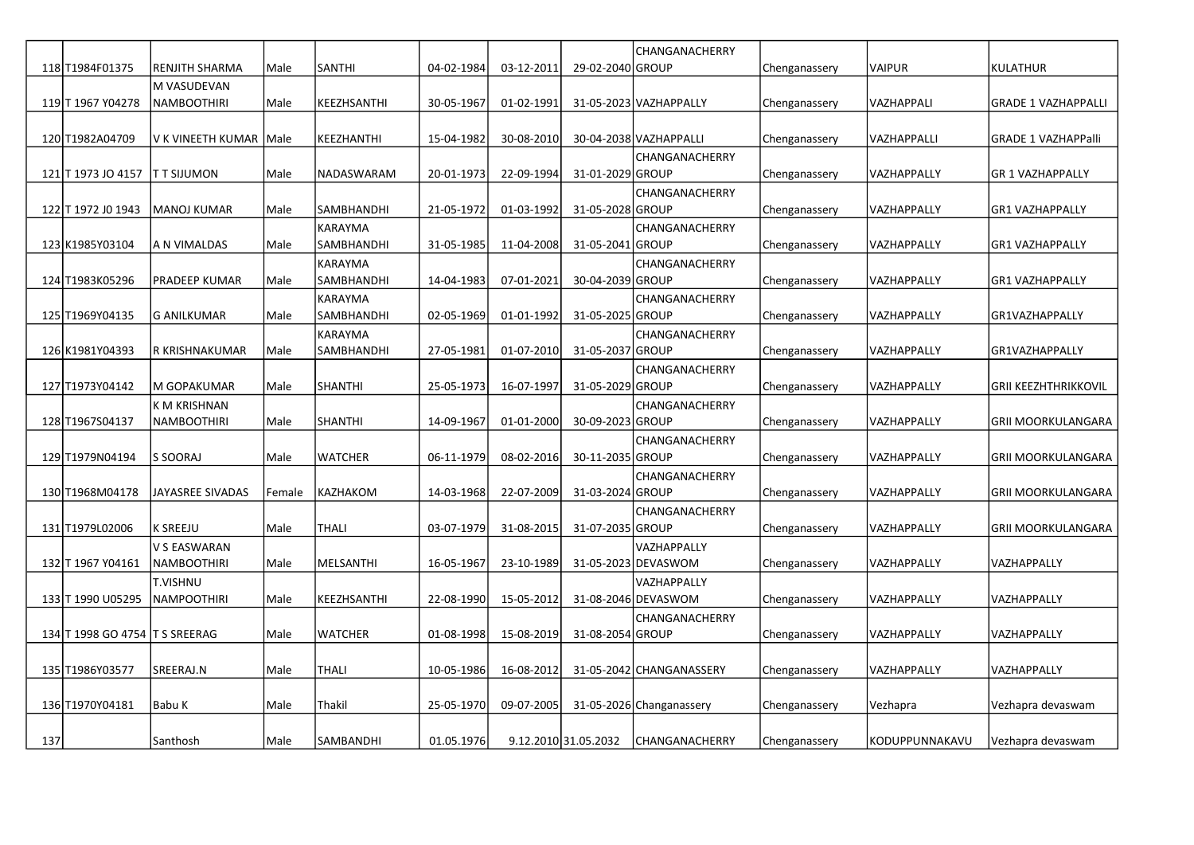|     |                                |                          |        |                  |            |            |                      | CHANGANACHERRY           |               |                |                             |
|-----|--------------------------------|--------------------------|--------|------------------|------------|------------|----------------------|--------------------------|---------------|----------------|-----------------------------|
|     | 118 T1984F01375                | <b>RENJITH SHARMA</b>    | Male   | <b>SANTHI</b>    | 04-02-1984 | 03-12-2011 | 29-02-2040 GROUP     |                          | Chenganassery | <b>VAIPUR</b>  | <b>KULATHUR</b>             |
|     |                                | M VASUDEVAN              |        |                  |            |            |                      |                          |               |                |                             |
|     | 119 T 1967 Y04278              | <b>NAMBOOTHIRI</b>       | Male   | KEEZHSANTHI      | 30-05-1967 | 01-02-1991 |                      | 31-05-2023 VAZHAPPALLY   | Chenganassery | VAZHAPPALI     | <b>GRADE 1 VAZHAPPALLI</b>  |
|     |                                |                          |        |                  |            |            |                      |                          |               |                |                             |
|     | 120 T1982A04709                | V K VINEETH KUMAR   Male |        | KEEZHANTHI       | 15-04-1982 | 30-08-2010 |                      | 30-04-2038 VAZHAPPALLI   | Chenganassery | VAZHAPPALLI    | <b>GRADE 1 VAZHAPPalli</b>  |
|     |                                |                          |        |                  |            |            |                      | CHANGANACHERRY           |               |                |                             |
|     | 121 T 1973 JO 4157             | <b>TT SIJUMON</b>        | Male   | NADASWARAM       | 20-01-1973 | 22-09-1994 | 31-01-2029 GROUP     |                          | Chenganassery | VAZHAPPALLY    | <b>GR 1 VAZHAPPALLY</b>     |
|     |                                |                          |        |                  |            |            |                      | CHANGANACHERRY           |               |                |                             |
|     | 122 T 1972 JO 1943             | MANOJ KUMAR              | Male   | SAMBHANDHI       | 21-05-1972 | 01-03-1992 | 31-05-2028 GROUP     |                          | Chenganassery | VAZHAPPALLY    | <b>GR1 VAZHAPPALLY</b>      |
|     |                                |                          |        | <b>KARAYMA</b>   |            |            |                      | CHANGANACHERRY           |               |                |                             |
|     | 123 K1985Y03104                | A N VIMALDAS             | Male   | SAMBHANDHI       | 31-05-1985 | 11-04-2008 | 31-05-2041 GROUP     |                          | Chenganassery | VAZHAPPALLY    | <b>GR1 VAZHAPPALLY</b>      |
|     |                                |                          |        | <b>KARAYMA</b>   |            |            |                      | CHANGANACHERRY           |               |                |                             |
|     | 124 T1983K05296                | PRADEEP KUMAR            | Male   | SAMBHANDHI       | 14-04-1983 | 07-01-2021 | 30-04-2039 GROUP     |                          | Chenganassery | VAZHAPPALLY    | <b>GR1 VAZHAPPALLY</b>      |
|     |                                |                          |        | KARAYMA          |            |            |                      | CHANGANACHERRY           |               |                |                             |
|     | 125 T1969Y04135                | <b>G ANILKUMAR</b>       | Male   | SAMBHANDHI       | 02-05-1969 | 01-01-1992 | 31-05-2025 GROUP     |                          | Chenganassery | VAZHAPPALLY    | GR1VAZHAPPALLY              |
|     |                                |                          |        | <b>KARAYMA</b>   |            |            |                      | CHANGANACHERRY           |               |                |                             |
|     | 126 K1981Y04393                | R KRISHNAKUMAR           | Male   | SAMBHANDHI       | 27-05-1981 | 01-07-2010 | 31-05-2037 GROUP     |                          | Chenganassery | VAZHAPPALLY    | GR1VAZHAPPALLY              |
|     |                                |                          |        |                  |            |            |                      | CHANGANACHERRY           |               |                |                             |
|     | 127 T1973 Y04142               | M GOPAKUMAR              | Male   | <b>SHANTHI</b>   | 25-05-1973 | 16-07-1997 | 31-05-2029 GROUP     |                          | Chenganassery | VAZHAPPALLY    | <b>GRII KEEZHTHRIKKOVIL</b> |
|     |                                | K M KRISHNAN             |        |                  |            |            |                      | CHANGANACHERRY           |               |                |                             |
|     | 128 T1967S04137                | <b>NAMBOOTHIRI</b>       | Male   | <b>SHANTHI</b>   | 14-09-1967 | 01-01-2000 | 30-09-2023 GROUP     |                          | Chenganassery | VAZHAPPALLY    | <b>GRII MOORKULANGARA</b>   |
|     |                                |                          |        |                  |            |            |                      | CHANGANACHERRY           |               |                |                             |
|     | 129 T1979N04194                | S SOORAJ                 | Male   | <b>WATCHER</b>   | 06-11-1979 | 08-02-2016 | 30-11-2035 GROUP     |                          | Chenganassery | VAZHAPPALLY    | <b>GRII MOORKULANGARA</b>   |
|     |                                |                          |        |                  |            |            |                      | CHANGANACHERRY           |               |                |                             |
|     | 130 T1968M04178                | <b>JAYASREE SIVADAS</b>  | Female | <b>KAZHAKOM</b>  | 14-03-1968 | 22-07-2009 | 31-03-2024 GROUP     |                          | Chenganassery | VAZHAPPALLY    | <b>GRII MOORKULANGARA</b>   |
|     |                                |                          |        |                  |            |            |                      | CHANGANACHERRY           |               |                |                             |
|     | 131 T1979 L02006               | <b>K SREEJU</b>          | Male   | <b>THALI</b>     | 03-07-1979 | 31-08-2015 | 31-07-2035 GROUP     |                          | Chenganassery | VAZHAPPALLY    | <b>GRII MOORKULANGARA</b>   |
|     |                                | V S EASWARAN             |        |                  |            |            |                      | VAZHAPPALLY              |               |                |                             |
|     | 132 T 1967 Y04161              | <b>NAMBOOTHIRI</b>       | Male   | MELSANTHI        | 16-05-1967 | 23-10-1989 |                      | 31-05-2023 DEVASWOM      | Chenganassery | VAZHAPPALLY    | VAZHAPPALLY                 |
|     |                                | T.VISHNU                 |        |                  |            |            |                      | VAZHAPPALLY              |               |                |                             |
|     | 133 T 1990 U05295              | <b>NAMPOOTHIRI</b>       | Male   | KEEZHSANTHI      | 22-08-1990 | 15-05-2012 |                      | 31-08-2046 DEVASWOM      | Chenganassery | VAZHAPPALLY    | VAZHAPPALLY                 |
|     |                                |                          |        |                  |            |            |                      | CHANGANACHERRY           |               |                |                             |
|     | 134 T 1998 GO 4754 T S SREERAG |                          | Male   | <b>WATCHER</b>   | 01-08-1998 | 15-08-2019 | 31-08-2054 GROUP     |                          | Chenganassery | VAZHAPPALLY    | VAZHAPPALLY                 |
|     |                                |                          |        |                  |            |            |                      |                          |               |                |                             |
|     | 135 T1986Y03577                | SREERAJ.N                | Male   | <b>THALI</b>     | 10-05-1986 | 16-08-2012 |                      | 31-05-2042 CHANGANASSERY | Chenganassery | VAZHAPPALLY    | VAZHAPPALLY                 |
|     |                                |                          |        |                  |            |            |                      |                          |               |                |                             |
|     | 136 T1970Y04181                | Babu K                   | Male   | Thakil           | 25-05-1970 | 09-07-2005 |                      | 31-05-2026 Changanassery | Chenganassery | Vezhapra       | Vezhapra devaswam           |
|     |                                |                          |        |                  |            |            |                      |                          |               |                |                             |
| 137 |                                | Santhosh                 | Male   | <b>SAMBANDHI</b> | 01.05.1976 |            | 9.12.2010 31.05.2032 | CHANGANACHERRY           | Chenganassery | KODUPPUNNAKAVU | Vezhapra devaswam           |